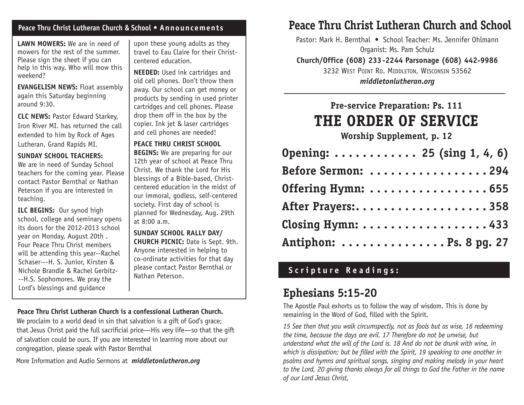## **Peace Thru Christ Lutheran Church & School • Announcements**

**LAWN MOWERS:** We are in need of mowers for the rest of the summer. Please sign the sheet if you can help in this way. Who will mow this weekend?

**EVANGELISM NEWS:** Float assembly again this Saturday beginning around 9:30.

**CLC NEWS:** Pastor Edward Starkey, Iron River MI. has returned the call extended to him by Rock of Ages Lutheran, Grand Rapids MI.

#### **SUNDAY SCHOOL TEACHERS:**

We are in need of Sunday School teachers for the coming year. Please contact Pastor Bernthal or Nathan Peterson if you are interested in teaching.

**ILC BEGINS:** Our synod high school, college and seminary opens its doors for the 2012-2013 school year on Monday, August 20th . Four Peace Thru Christ members will be attending this year--Rachel Schaser---H. S. Junior, Kirsten & Nichole Brandle & Rachel Gerbitz- --H.S. Sophomores. We pray the Lord's blessings and guidance

upon these young adults as they travel to Eau Claire for their Christcentered education.

**NEEDED:** Used ink cartridges and old cell phones. Don't throw them away. Our school can get money or products by sending in used printer cartridges and cell phones. Please drop them off in the box by the copier. Ink jet & laser cartridges and cell phones are needed!

**PEACE THRU CHRIST SCHOOL BEGINS:** We are preparing for our 12th year of school at Peace Thru Christ. We thank the Lord for His blessings of a Bible-based, Christcentered education in the midst of our immoral, godless, self-centered society. First day of school is planned for Wednesday, Aug. 29th at 8:00 a.m.

**SUNDAY SCHOOL RALLY DAY/ CHURCH PICNIC:** Date is Sept. 9th. Anyone interested in helping to co-ordinate activities for that day please contact Pastor Bernthal or Nathan Peterson.

## **Peace Thru Christ Lutheran Church is a confessional Lutheran Church.**

We proclaim to a world dead in sin that salvation is a gift of God's grace; that Jesus Christ paid the full sacrificial price—His very life—so that the gift of salvation could be ours. If you are interested in learning more about our congregation, please speak with Pastor Bernthal

More Information and Audio Sermons at *middletonlutheran.org*

## **Peace Thru Christ Lutheran Church and School**

Pastor: Mark H. Bernthal • School Teacher: Ms. Jennifer Ohlmann Organist: Ms. Pam Schulz

**Church/Office (608) 233-2244 Parsonage (608) 442-9986**

3232 West Point Rd. Middleton, Wisconsin 53562 *middletonlutheran.org*

# **Pre-service Preparation: Ps. 111 THE ORDER OF Service**

**Worship Supplement, p. 12**

| Opening: $\dots \dots \dots \dots$ 25 (sing 1, 4, 6) |  |
|------------------------------------------------------|--|
| Before Sermon: 294                                   |  |
| Offering Hymn: 655                                   |  |
| After Prayers:358                                    |  |
| Closing Hymn: 433                                    |  |
| Antiphon: $\dots\dots\dots\dots\dots$ . Ps. 8 pg. 27 |  |

## **Scripture Readings:**

## **Ephesians 5:15-20**

The Apostle Paul exhorts us to follow the way of wisdom. This is done by remaining in the Word of God, filled with the Spirit.

*15 See then that you walk circumspectly, not as fools but as wise, 16 redeeming the time, because the days are evil. 17 Therefore do not be unwise, but understand what the will of the Lord is. 18 And do not be drunk with wine, in which is dissipation; but be filled with the Spirit, 19 speaking to one another in psalms and hymns and spiritual songs, singing and making melody in your heart to the Lord, 20 giving thanks always for all things to God the Father in the name of our Lord Jesus Christ,*